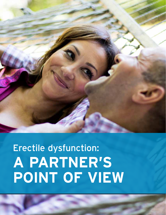

# Erectile dysfunction: **A PARTNER'S POINT OF VIEW**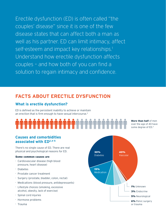Erectile dysfunction (ED) is often called "the couples' disease" since it is one of the few disease states that can affect both a man as well as his partner. ED can limit intimacy, affect self-esteem and impact key relationships.<sup>1</sup> Understand how erectile dysfunction affects couples – and how both of you can find a solution to regain intimacy and confidence.

## **FACTS ABOUT ERECTILE DYSFUNCTION**

## **What is erectile dysfunction?**

ED is defined as the persistent inability to achieve or maintain an erection that is firm enough to have sexual intercourse.<sup>2</sup>

More than half of men over the age of 40 have some degree of ED.3

## **Causes and comorbidities associated with ED2,4-5**

There's no single cause of ED. There are real physical and psychological reasons for ED.

#### Some common causes are

- Cardiovascular disease (high blood pressure, heart disease)
- Diabetes
- Prostate cancer treatment
- Surgery (prostate, bladder, colon, rectal)
- Medications (blood pressure, antidepressants)
- Lifestyle choices (smoking, excessive alcohol, obesity, lack of exercise)
- Spinal cord injuries
- Hormone problems
- Trauma

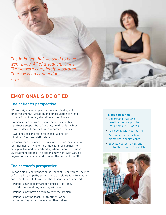*"The intimacy that we used to have went away. All of a sudden, it was like we were completely separated. There was no connection."*

— Tom

## **EMOTIONAL SIDE OF ED**

### **The patient's perspective**

ED has a significant impact on the man. Feelings of embarrassment, frustration and emasculation can lead to behaviors of denial, alienation and avoidance.

- A man suffering from ED may initially accept his partner's support but after time, hearing his partner say, "It doesn't matter to me" is harder to believe
- Avoiding sex can create feelings of alienation that can fracture relationships

For many men, the ability to have an erection makes them feel "normal" or "whole." It's important for partners to be supportive and understanding when trying the various ED treatment options. The options may work with varying degrees of success depending upon the cause of the ED.

## **The partner's perspective**

ED has a significant impact on partners of ED sufferers. Feelings of frustration, empathy and sadness can slowly fade to apathy and acceptance of life without the closeness once enjoyed.

- Partners may look inward for causes "Is it me?" or "Maybe something is wrong with me"
- Partners may have a desire to "fix" the problem
- Partners may be fearful of treatment or be experiencing sexual dysfunction themselves

#### Things you can do

- Understand that ED is usually a medical problem that affects BOTH of you
- Talk openly with your partner
- Accompany your partner to his medical appointments
- Educate yourself on ED and the treatment options available

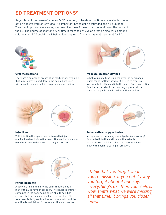## **ED TREATMENT OPTIONS2**

Regardless of the cause of a person's ED, a variety of treatment options are available. If one option doesn't work or isn't ideal, it's important not to get discouraged and give up hope. Treatment options have varying degrees of success for each man depending on the cause of the ED. The degree of spontaneity or time it takes to achieve an erection also varies among solutions. An ED Specialist will help guide couples to find a permanent treatment for ED.



#### Oral medications

There are a number of prescription medications available that may improve blood flow to the penis. Combined with sexual stimulation, this can produce an erection.



#### Vacuum erection devices

A hollow plastic tube is placed over the penis and a pump (hand/battery-powered) is used to create a vacuum that pulls blood into the penis. Once an erection is achieved, an elastic tension ring is placed at the base of the penis to help maintain the erection.



#### Injections

With injection therapy, a needle is used to inject medication directly into the penis. The medication allows blood to flow into the penis, creating an erection.



#### Intraurethral suppositories

An applicator containing a small pellet (suppository) is inserted into the urethra and the pellet is released. The pellet dissolves and increases blood flow to the penis, creating an erection.



#### Penile implants

A device is implanted into the penis that enables a man with ED to have an erection. The device is entirely contained in the body so no one is able to see it. It is controlled by the user to achieve an erection. This treatment is designed to allow for spontaneity, and the erection is maintained for as long as the man desires.

*"I think that you forget what you're missing. If you put it away, you forget about it and say, 'everything's ok,' then you realize, wow, that's what we were missing all that time. It brings you closer."*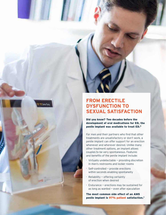

## **FROM ERECTILE DYSFUNCTION TO SEXUAL SATISFACTION**

Did you know? Two decades before the development of oral medications for ED, the penile implant was available to treat ED.6

For men and their partners who find that other treatments are unsatisfactory or don't work, a penile implant can offer support for an erection whenever and wherever desired. Unlike many other treatment options, an implant allows couples to be very spontaneous. Features and benefits of the penile implant include:

- Virtually undetectable providing discretion in men's restrooms and locker rooms
- Self-controlled provide erections within seconds enabling spontaneity
- $\cdot$  Reliability offering certainty of erection when desired
- Endurance erections may be sustained for as long as wanted — even after ejaculation

The most common side effect of an AMS penile implant is 97% patient satisfaction.7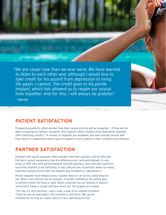*"We are closer now than we ever were. We have learned to listen to each other and, although I would love to take credit for his ascent from depression to living life again, I cannot. The credit goes to his penile implant, which has allowed us to regain our sexual lives together. And for this, I will always be grateful."* 

— Marilyn

## **PATIENT SATISFACTION**

**State of the Committee** 

Prospective patients often wonder how their sexual activity will be impacted — if they will be able to experience familiar sensation and orgasms. Many studies show that penile implants offer satisfying results.<sup>7,8</sup> A variety of implants are available, and men should consult with their doctor to determine which type of implant is best suited for their condition and lifestyle.

## **PARTNER SATISFACTION**

Patients with penile implants often wonder how their partners will be affected. Partners cannot necessarily feel the difference pre- and post-implant. In one study of 200 men with penile implants and 120 partners, men and their partners found the implant to be satisfying. In fact, 96 percent of partners when surveyed, reported sexual activity with the implant was excellent or satisfactory.8

Penile implants have helped many couples return to an active, satisfying sex life. When your partner has an implant, it instills confidence. He will be able to perform when the time is right. When a partner has an implant, it doesn't necessarily mean a couple will have more sex. All couples are unique.

"For me, it's very exciting," says Linda, a wife of an implant recipient. "Once he has an ejaculation, the erection is still there. We can be intimate for as long as I want, which is very satisfying for me."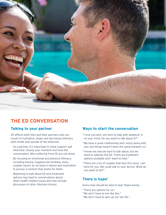

## **THE ED CONVERSATION**

## **Talking to your partner**

ED affects both men and their partners and can result in frustration, anger and decreased intimacy both inside and outside of the bedroom.

- As a partner, it's important to show support, get informed, choose your moment and have the conversation. Men suffering from ED are not alone.
- By focusing on emotional and physical intimacy, including kissing, hugging and stroking, many couples report an increase in desire and motivation to pursue a solution that works for them.
- Beginning to talk about ED and treatment options may lead to conversations about other health-related issues and may include discussion of other lifestyle choices.

## **Ways to start the conversation**

- "I love you and I am here to help with whatever is on your mind. Do you want to talk about it?"
- "We have a great relationship and I enjoy being with you, but things haven't been the same between us."
- "I know sex may be hard to talk about, but we need to address the ED. There are treatment options available and I want to help."
- "There are a lot of couples that face this issue. I am here for you. We could talk to your doctor. What do you want to do?"

## **There is hope!**

Every man should be able to hear these words…

- "There are options for us."
- "We don't have to live like this."
- "We don't have to give up our sex life."